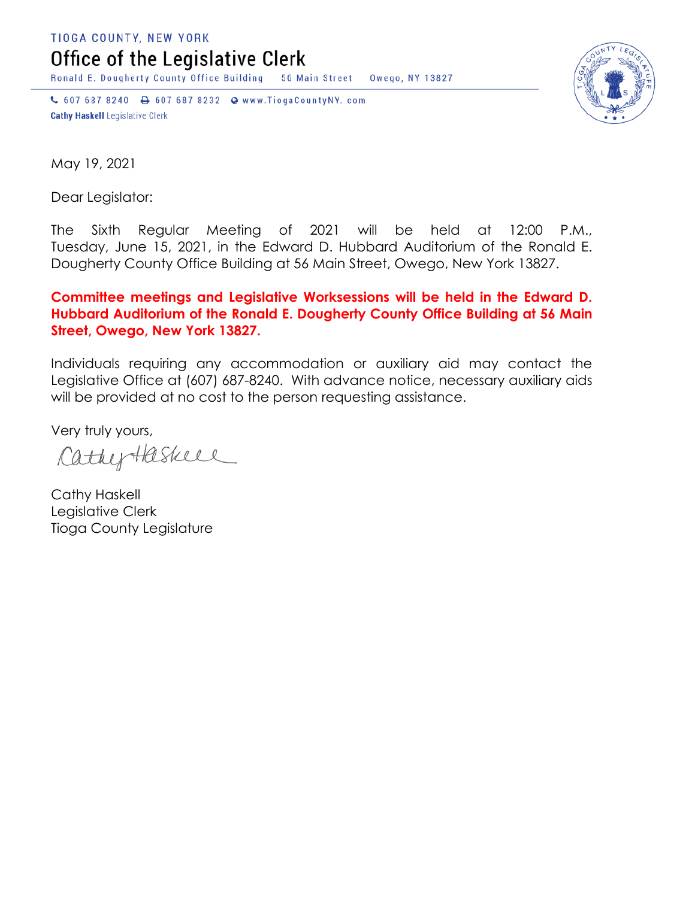TIOGA COUNTY, NEW YORK

Office of the Legislative Clerk

Ronald E. Dougherty County Office Building 56 Main Street Owego, NY 13827

↓ 607 687 8240 → 607 687 8232 → www.TiogaCountyNY.com **Cathy Haskell Legislative Clerk** 



May 19, 2021

Dear Legislator:

The Sixth Regular Meeting of 2021 will be held at 12:00 P.M., Tuesday, June 15, 2021, in the Edward D. Hubbard Auditorium of the Ronald E. Dougherty County Office Building at 56 Main Street, Owego, New York 13827.

## **Committee meetings and Legislative Worksessions will be held in the Edward D. Hubbard Auditorium of the Ronald E. Dougherty County Office Building at 56 Main Street, Owego, New York 13827.**

Individuals requiring any accommodation or auxiliary aid may contact the Legislative Office at (607) 687-8240. With advance notice, necessary auxiliary aids will be provided at no cost to the person requesting assistance.

Very truly yours,

CathyHaskeel

Cathy Haskell Legislative Clerk Tioga County Legislature